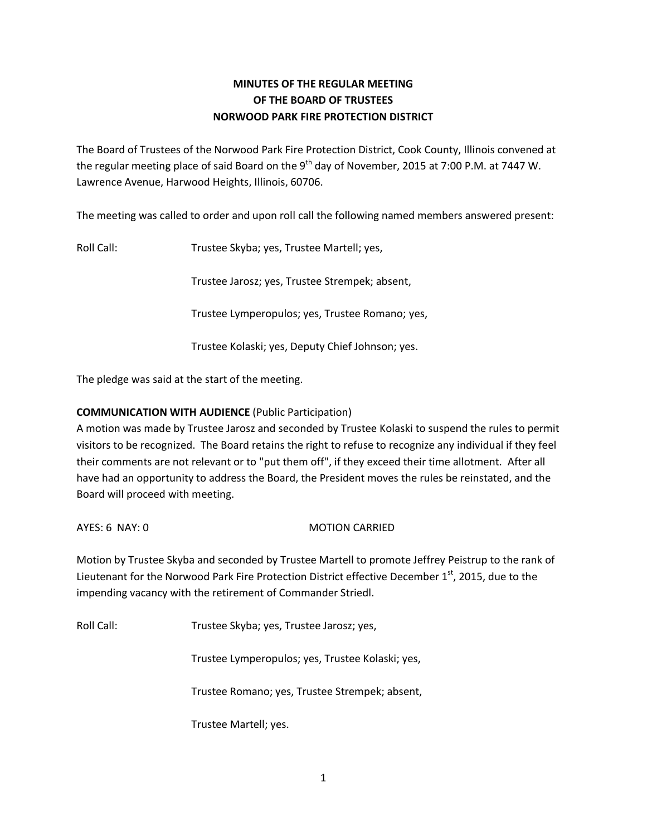## **MINUTES OF THE REGULAR MEETING OF THE BOARD OF TRUSTEES NORWOOD PARK FIRE PROTECTION DISTRICT**

The Board of Trustees of the Norwood Park Fire Protection District, Cook County, Illinois convened at the regular meeting place of said Board on the 9<sup>th</sup> day of November, 2015 at 7:00 P.M. at 7447 W. Lawrence Avenue, Harwood Heights, Illinois, 60706.

The meeting was called to order and upon roll call the following named members answered present:

Roll Call: Trustee Skyba; yes, Trustee Martell; yes,

Trustee Jarosz; yes, Trustee Strempek; absent,

Trustee Lymperopulos; yes, Trustee Romano; yes,

Trustee Kolaski; yes, Deputy Chief Johnson; yes.

The pledge was said at the start of the meeting.

### **COMMUNICATION WITH AUDIENCE** (Public Participation)

A motion was made by Trustee Jarosz and seconded by Trustee Kolaski to suspend the rules to permit visitors to be recognized. The Board retains the right to refuse to recognize any individual if they feel their comments are not relevant or to "put them off", if they exceed their time allotment. After all have had an opportunity to address the Board, the President moves the rules be reinstated, and the Board will proceed with meeting.

AYES: 6 NAY: 0 MOTION CARRIED

Motion by Trustee Skyba and seconded by Trustee Martell to promote Jeffrey Peistrup to the rank of Lieutenant for the Norwood Park Fire Protection District effective December  $1<sup>st</sup>$ , 2015, due to the impending vacancy with the retirement of Commander Striedl.

Roll Call: Trustee Skyba; yes, Trustee Jarosz; yes,

Trustee Lymperopulos; yes, Trustee Kolaski; yes,

Trustee Romano; yes, Trustee Strempek; absent,

Trustee Martell; yes.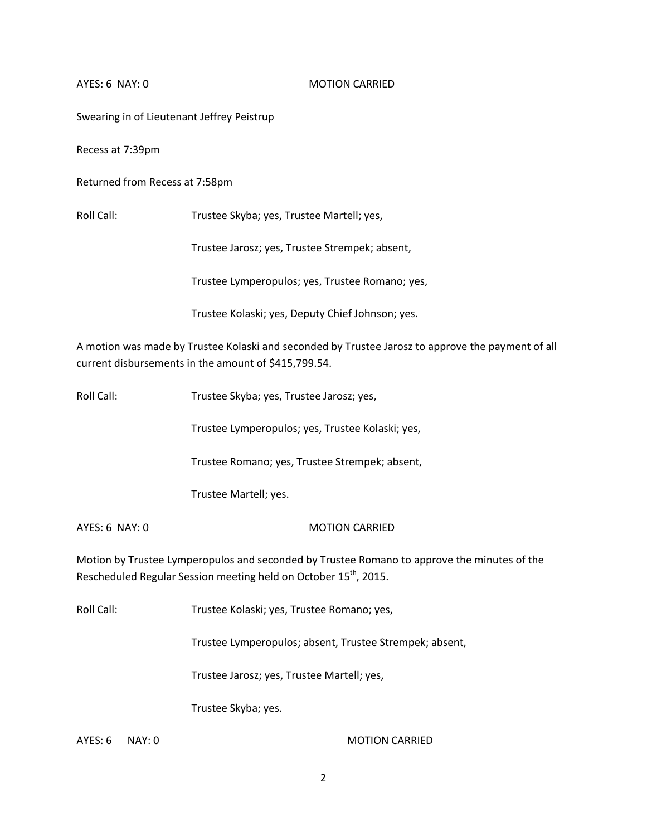AYES: 6 NAY: 0 MOTION CARRIED

Swearing in of Lieutenant Jeffrey Peistrup

Recess at 7:39pm

Returned from Recess at 7:58pm

Roll Call: Trustee Skyba; yes, Trustee Martell; yes,

Trustee Jarosz; yes, Trustee Strempek; absent,

Trustee Lymperopulos; yes, Trustee Romano; yes,

Trustee Kolaski; yes, Deputy Chief Johnson; yes.

A motion was made by Trustee Kolaski and seconded by Trustee Jarosz to approve the payment of all current disbursements in the amount of \$415,799.54.

| Roll Call: | Trustee Skyba; yes, Trustee Jarosz; yes, |
|------------|------------------------------------------|
|------------|------------------------------------------|

Trustee Lymperopulos; yes, Trustee Kolaski; yes,

Trustee Romano; yes, Trustee Strempek; absent,

Trustee Martell; yes.

AYES: 6 NAY: 0 MOTION CARRIED

Motion by Trustee Lymperopulos and seconded by Trustee Romano to approve the minutes of the Rescheduled Regular Session meeting held on October 15<sup>th</sup>, 2015.

Roll Call: Trustee Kolaski; yes, Trustee Romano; yes,

Trustee Lymperopulos; absent, Trustee Strempek; absent,

Trustee Jarosz; yes, Trustee Martell; yes,

Trustee Skyba; yes.

AYES: 6 NAY: 0 MOTION CARRIED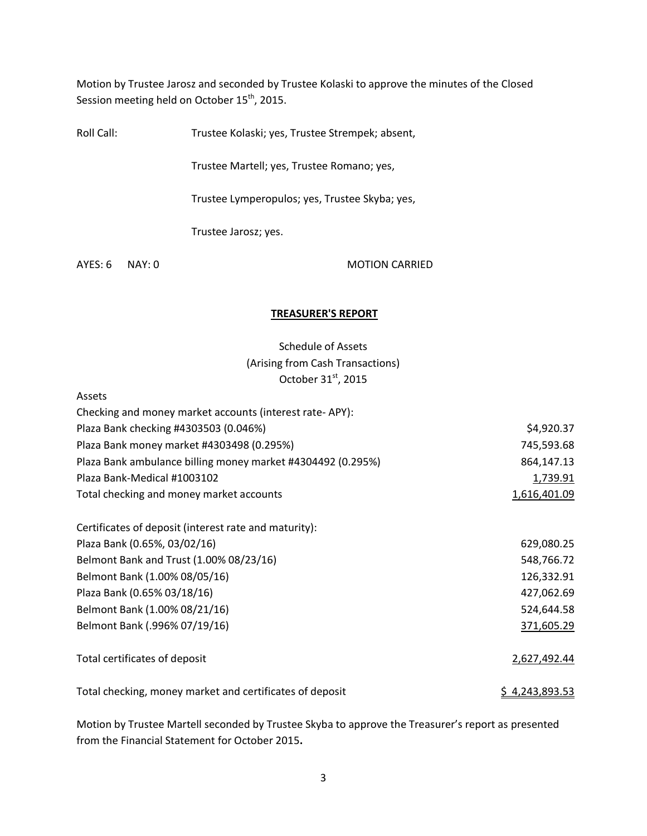Motion by Trustee Jarosz and seconded by Trustee Kolaski to approve the minutes of the Closed Session meeting held on October 15<sup>th</sup>, 2015.

Roll Call: Trustee Kolaski; yes, Trustee Strempek; absent,

Trustee Martell; yes, Trustee Romano; yes,

Trustee Lymperopulos; yes, Trustee Skyba; yes,

Trustee Jarosz; yes.

AYES: 6 NAY: 0 MOTION CARRIED

#### **TREASURER'S REPORT**

# Schedule of Assets (Arising from Cash Transactions) October 31st, 2015

#### Assets

| Checking and money market accounts (interest rate-APY):     |                |
|-------------------------------------------------------------|----------------|
| Plaza Bank checking #4303503 (0.046%)                       | \$4,920.37     |
| Plaza Bank money market #4303498 (0.295%)                   | 745,593.68     |
| Plaza Bank ambulance billing money market #4304492 (0.295%) | 864,147.13     |
| Plaza Bank-Medical #1003102                                 | 1,739.91       |
| Total checking and money market accounts                    | 1,616,401.09   |
| Certificates of deposit (interest rate and maturity):       |                |
| Plaza Bank (0.65%, 03/02/16)                                | 629,080.25     |
| Belmont Bank and Trust (1.00% 08/23/16)                     | 548,766.72     |
| Belmont Bank (1.00% 08/05/16)                               | 126,332.91     |
| Plaza Bank (0.65% 03/18/16)                                 | 427,062.69     |
| Belmont Bank (1.00% 08/21/16)                               | 524,644.58     |
| Belmont Bank (.996% 07/19/16)                               | 371,605.29     |
| Total certificates of deposit                               | 2,627,492.44   |
| Total checking, money market and certificates of deposit    | \$4,243,893.53 |

Motion by Trustee Martell seconded by Trustee Skyba to approve the Treasurer's report as presented from the Financial Statement for October 2015**.**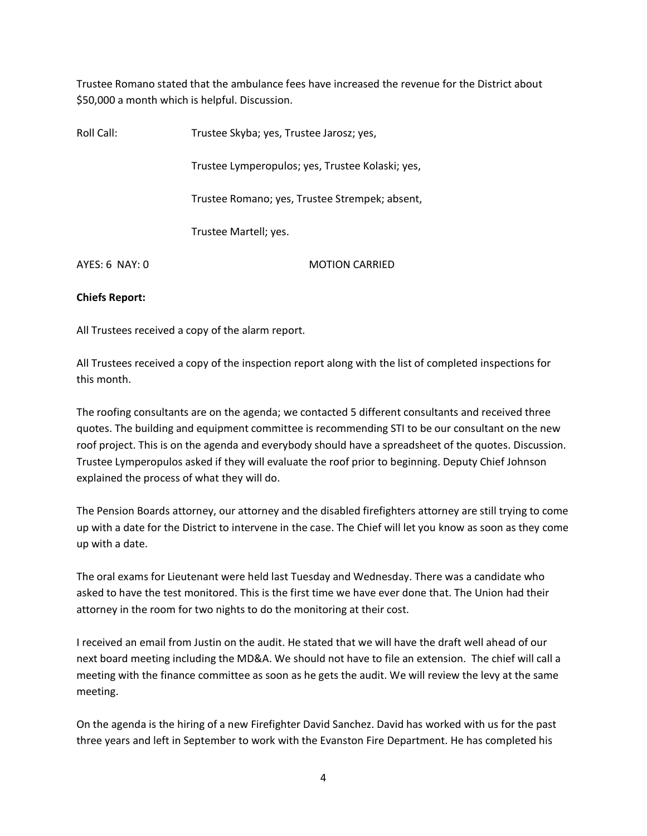Trustee Romano stated that the ambulance fees have increased the revenue for the District about \$50,000 a month which is helpful. Discussion.

| Roll Call:       | Trustee Skyba; yes, Trustee Jarosz; yes,         |
|------------------|--------------------------------------------------|
|                  | Trustee Lymperopulos; yes, Trustee Kolaski; yes, |
|                  | Trustee Romano; yes, Trustee Strempek; absent,   |
|                  | Trustee Martell; yes.                            |
| $AYFS: 6$ NAY: 0 | <b>MOTION CARRIED</b>                            |

#### **Chiefs Report:**

All Trustees received a copy of the alarm report.

All Trustees received a copy of the inspection report along with the list of completed inspections for this month.

The roofing consultants are on the agenda; we contacted 5 different consultants and received three quotes. The building and equipment committee is recommending STI to be our consultant on the new roof project. This is on the agenda and everybody should have a spreadsheet of the quotes. Discussion. Trustee Lymperopulos asked if they will evaluate the roof prior to beginning. Deputy Chief Johnson explained the process of what they will do.

The Pension Boards attorney, our attorney and the disabled firefighters attorney are still trying to come up with a date for the District to intervene in the case. The Chief will let you know as soon as they come up with a date.

The oral exams for Lieutenant were held last Tuesday and Wednesday. There was a candidate who asked to have the test monitored. This is the first time we have ever done that. The Union had their attorney in the room for two nights to do the monitoring at their cost.

I received an email from Justin on the audit. He stated that we will have the draft well ahead of our next board meeting including the MD&A. We should not have to file an extension. The chief will call a meeting with the finance committee as soon as he gets the audit. We will review the levy at the same meeting.

On the agenda is the hiring of a new Firefighter David Sanchez. David has worked with us for the past three years and left in September to work with the Evanston Fire Department. He has completed his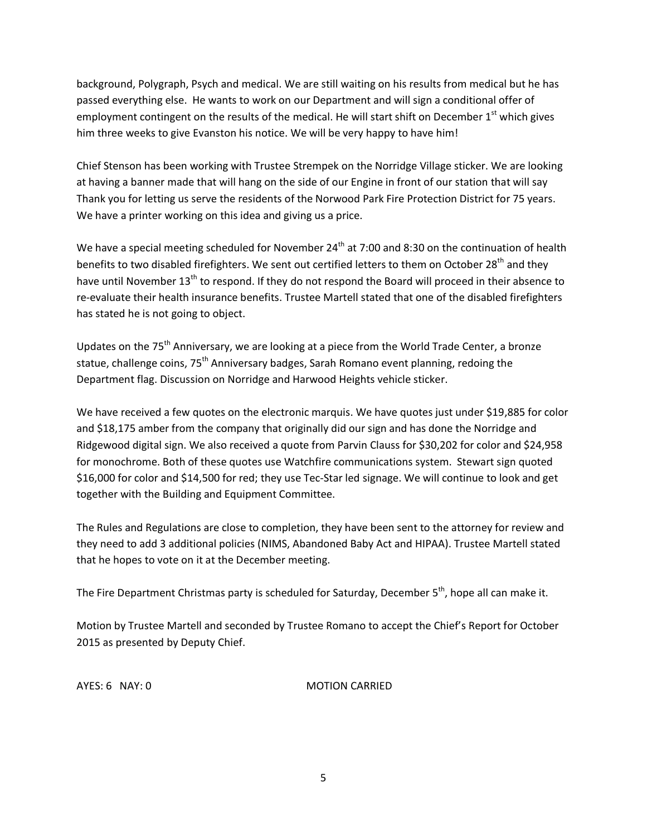background, Polygraph, Psych and medical. We are still waiting on his results from medical but he has passed everything else. He wants to work on our Department and will sign a conditional offer of employment contingent on the results of the medical. He will start shift on December 1<sup>st</sup> which gives him three weeks to give Evanston his notice. We will be very happy to have him!

Chief Stenson has been working with Trustee Strempek on the Norridge Village sticker. We are looking at having a banner made that will hang on the side of our Engine in front of our station that will say Thank you for letting us serve the residents of the Norwood Park Fire Protection District for 75 years. We have a printer working on this idea and giving us a price.

We have a special meeting scheduled for November 24<sup>th</sup> at 7:00 and 8:30 on the continuation of health benefits to two disabled firefighters. We sent out certified letters to them on October 28<sup>th</sup> and they have until November 13<sup>th</sup> to respond. If they do not respond the Board will proceed in their absence to re-evaluate their health insurance benefits. Trustee Martell stated that one of the disabled firefighters has stated he is not going to object.

Updates on the 75<sup>th</sup> Anniversary, we are looking at a piece from the World Trade Center, a bronze statue, challenge coins, 75<sup>th</sup> Anniversary badges, Sarah Romano event planning, redoing the Department flag. Discussion on Norridge and Harwood Heights vehicle sticker.

We have received a few quotes on the electronic marquis. We have quotes just under \$19,885 for color and \$18,175 amber from the company that originally did our sign and has done the Norridge and Ridgewood digital sign. We also received a quote from Parvin Clauss for \$30,202 for color and \$24,958 for monochrome. Both of these quotes use Watchfire communications system. Stewart sign quoted \$16,000 for color and \$14,500 for red; they use Tec-Star led signage. We will continue to look and get together with the Building and Equipment Committee.

The Rules and Regulations are close to completion, they have been sent to the attorney for review and they need to add 3 additional policies (NIMS, Abandoned Baby Act and HIPAA). Trustee Martell stated that he hopes to vote on it at the December meeting.

The Fire Department Christmas party is scheduled for Saturday, December 5<sup>th</sup>, hope all can make it.

Motion by Trustee Martell and seconded by Trustee Romano to accept the Chief's Report for October 2015 as presented by Deputy Chief.

AYES: 6 NAY: 0 MOTION CARRIED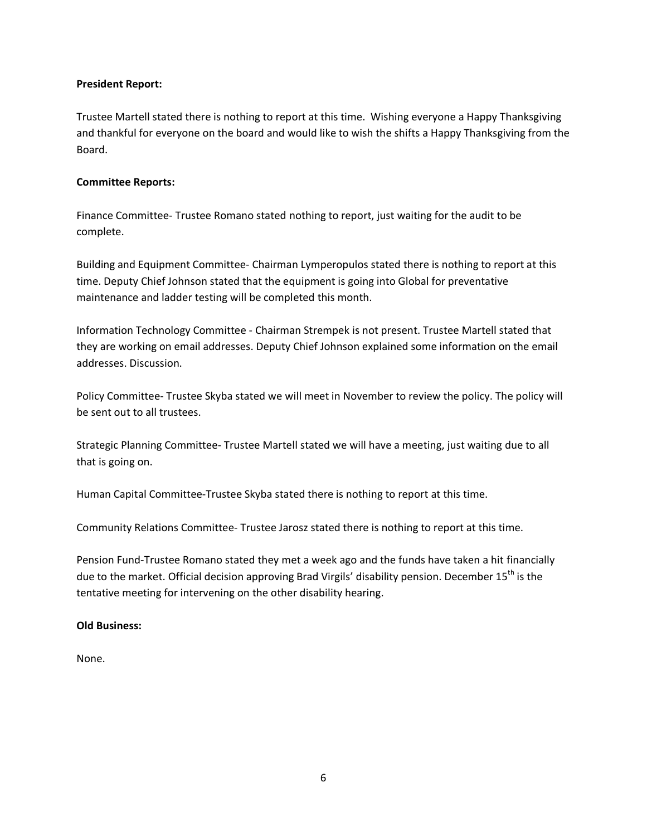#### **President Report:**

Trustee Martell stated there is nothing to report at this time. Wishing everyone a Happy Thanksgiving and thankful for everyone on the board and would like to wish the shifts a Happy Thanksgiving from the Board.

#### **Committee Reports:**

Finance Committee- Trustee Romano stated nothing to report, just waiting for the audit to be complete.

Building and Equipment Committee- Chairman Lymperopulos stated there is nothing to report at this time. Deputy Chief Johnson stated that the equipment is going into Global for preventative maintenance and ladder testing will be completed this month.

Information Technology Committee - Chairman Strempek is not present. Trustee Martell stated that they are working on email addresses. Deputy Chief Johnson explained some information on the email addresses. Discussion.

Policy Committee- Trustee Skyba stated we will meet in November to review the policy. The policy will be sent out to all trustees.

Strategic Planning Committee- Trustee Martell stated we will have a meeting, just waiting due to all that is going on.

Human Capital Committee-Trustee Skyba stated there is nothing to report at this time.

Community Relations Committee- Trustee Jarosz stated there is nothing to report at this time.

Pension Fund-Trustee Romano stated they met a week ago and the funds have taken a hit financially due to the market. Official decision approving Brad Virgils' disability pension. December  $15<sup>th</sup>$  is the tentative meeting for intervening on the other disability hearing.

#### **Old Business:**

None.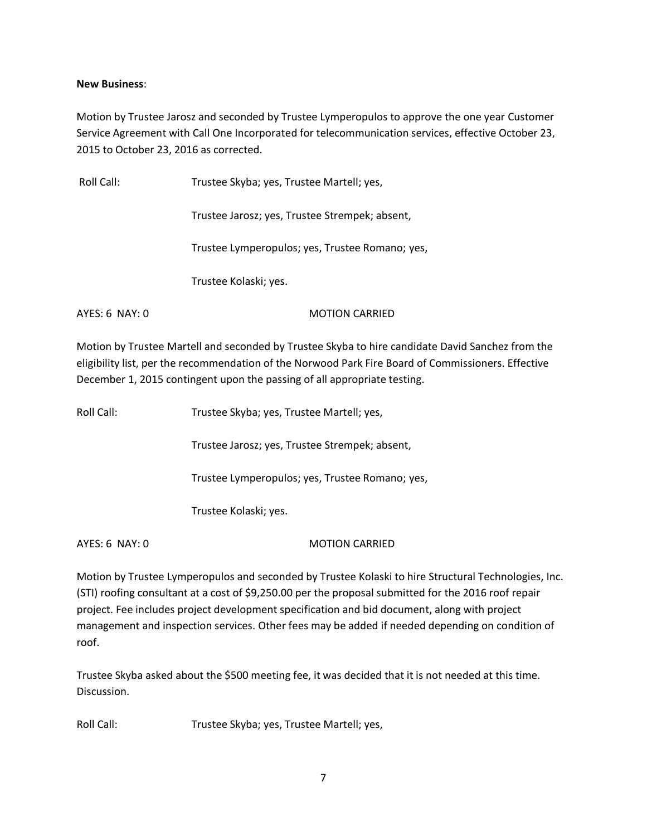### **New Business**:

Motion by Trustee Jarosz and seconded by Trustee Lymperopulos to approve the one year Customer Service Agreement with Call One Incorporated for telecommunication services, effective October 23, 2015 to October 23, 2016 as corrected.

Roll Call: Trustee Skyba; yes, Trustee Martell; yes, Trustee Jarosz; yes, Trustee Strempek; absent, Trustee Lymperopulos; yes, Trustee Romano; yes, Trustee Kolaski; yes. AYES: 6 NAY: 0 MOTION CARRIED

Motion by Trustee Martell and seconded by Trustee Skyba to hire candidate David Sanchez from the eligibility list, per the recommendation of the Norwood Park Fire Board of Commissioners. Effective December 1, 2015 contingent upon the passing of all appropriate testing.

| Roll Call: | Trustee Skyba; yes, Trustee Martell; yes,       |
|------------|-------------------------------------------------|
|            | Trustee Jarosz; yes, Trustee Strempek; absent,  |
|            | Trustee Lymperopulos; yes, Trustee Romano; yes, |
|            | Trustee Kolaski; yes.                           |
|            |                                                 |

AYES: 6 NAY: 0 MOTION CARRIED

Motion by Trustee Lymperopulos and seconded by Trustee Kolaski to hire Structural Technologies, Inc. (STI) roofing consultant at a cost of \$9,250.00 per the proposal submitted for the 2016 roof repair project. Fee includes project development specification and bid document, along with project management and inspection services. Other fees may be added if needed depending on condition of roof.

Trustee Skyba asked about the \$500 meeting fee, it was decided that it is not needed at this time. Discussion.

Roll Call: Trustee Skyba; yes, Trustee Martell; yes,